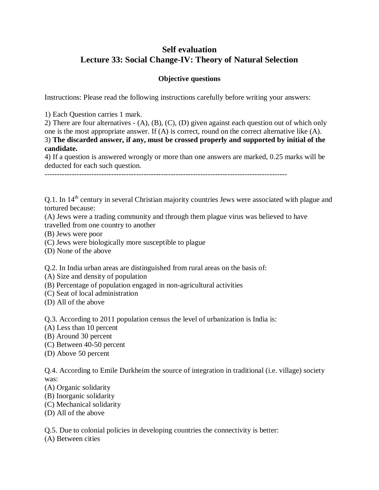# **Self evaluation Lecture 33: Social Change-IV: Theory of Natural Selection**

# **Objective questions**

Instructions: Please read the following instructions carefully before writing your answers:

1) Each Question carries 1 mark.

2) There are four alternatives - (A), (B), (C), (D) given against each question out of which only one is the most appropriate answer. If (A) is correct, round on the correct alternative like (A). 3) **The discarded answer, if any, must be crossed properly and supported by initial of the candidate.**

4) If a question is answered wrongly or more than one answers are marked, 0.25 marks will be deducted for each such question.

--------------------------------------------------------------------------------------------------

Q.1. In 14<sup>th</sup> century in several Christian majority countries Jews were associated with plague and tortured because:

(A) Jews were a trading community and through them plague virus was believed to have travelled from one country to another

- (B) Jews were poor
- (C) Jews were biologically more susceptible to plague
- (D) None of the above

Q.2. In India urban areas are distinguished from rural areas on the basis of:

- (A) Size and density of population
- (B) Percentage of population engaged in non-agricultural activities
- (C) Seat of local administration
- (D) All of the above

Q.3. According to 2011 population census the level of urbanization is India is:

- (A) Less than 10 percent
- (B) Around 30 percent
- (C) Between 40-50 percent
- (D) Above 50 percent

Q.4. According to Emile Durkheim the source of integration in traditional (i.e. village) society was:

- (A) Organic solidarity
- (B) Inorganic solidarity
- (C) Mechanical solidarity
- (D) All of the above

Q.5. Due to colonial policies in developing countries the connectivity is better:

(A) Between cities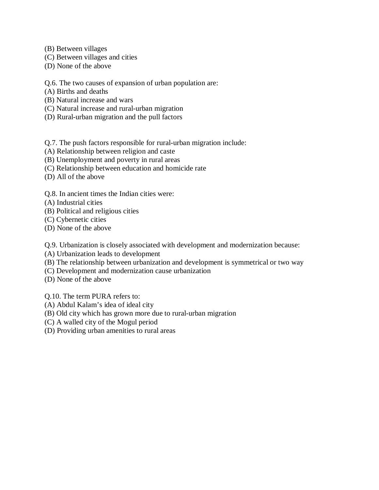- (B) Between villages
- (C) Between villages and cities
- (D) None of the above

## Q.6. The two causes of expansion of urban population are:

- (A) Births and deaths
- (B) Natural increase and wars
- (C) Natural increase and rural-urban migration
- (D) Rural-urban migration and the pull factors

Q.7. The push factors responsible for rural-urban migration include:

- (A) Relationship between religion and caste
- (B) Unemployment and poverty in rural areas
- (C) Relationship between education and homicide rate
- (D) All of the above

## Q.8. In ancient times the Indian cities were:

- (A) Industrial cities
- (B) Political and religious cities
- (C) Cybernetic cities
- (D) None of the above

Q.9. Urbanization is closely associated with development and modernization because:

- (A) Urbanization leads to development
- (B) The relationship between urbanization and development is symmetrical or two way
- (C) Development and modernization cause urbanization
- (D) None of the above

Q.10. The term PURA refers to:

- (A) Abdul Kalam's idea of ideal city
- (B) Old city which has grown more due to rural-urban migration
- (C) A walled city of the Mogul period
- (D) Providing urban amenities to rural areas